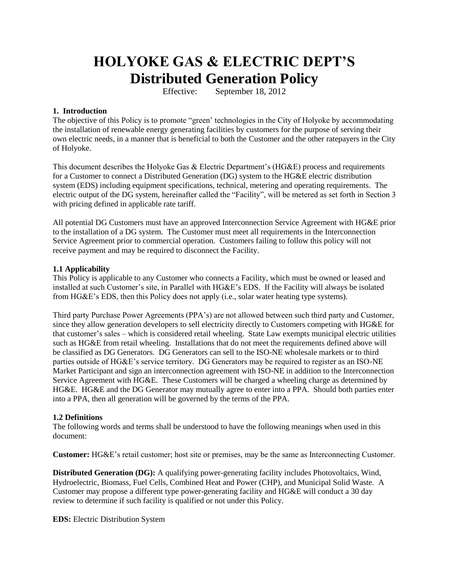# **HOLYOKE GAS & ELECTRIC DEPT'S Distributed Generation Policy**

Effective: September 18, 2012

# **1. Introduction**

The objective of this Policy is to promote "green' technologies in the City of Holyoke by accommodating the installation of renewable energy generating facilities by customers for the purpose of serving their own electric needs, in a manner that is beneficial to both the Customer and the other ratepayers in the City of Holyoke.

This document describes the Holyoke Gas & Electric Department's (HG&E) process and requirements for a Customer to connect a Distributed Generation (DG) system to the HG&E electric distribution system (EDS) including equipment specifications, technical, metering and operating requirements. The electric output of the DG system, hereinafter called the "Facility", will be metered as set forth in Section 3 with pricing defined in applicable rate tariff.

All potential DG Customers must have an approved Interconnection Service Agreement with HG&E prior to the installation of a DG system. The Customer must meet all requirements in the Interconnection Service Agreement prior to commercial operation. Customers failing to follow this policy will not receive payment and may be required to disconnect the Facility.

## **1.1 Applicability**

This Policy is applicable to any Customer who connects a Facility, which must be owned or leased and installed at such Customer's site, in Parallel with HG&E's EDS. If the Facility will always be isolated from HG&E's EDS, then this Policy does not apply (i.e., solar water heating type systems).

Third party Purchase Power Agreements (PPA's) are not allowed between such third party and Customer, since they allow generation developers to sell electricity directly to Customers competing with HG&E for that customer's sales – which is considered retail wheeling. State Law exempts municipal electric utilities such as HG&E from retail wheeling. Installations that do not meet the requirements defined above will be classified as DG Generators. DG Generators can sell to the ISO-NE wholesale markets or to third parties outside of HG&E's service territory. DG Generators may be required to register as an ISO-NE Market Participant and sign an interconnection agreement with ISO-NE in addition to the Interconnection Service Agreement with HG&E. These Customers will be charged a wheeling charge as determined by HG&E. HG&E and the DG Generator may mutually agree to enter into a PPA. Should both parties enter into a PPA, then all generation will be governed by the terms of the PPA.

# **1.2 Definitions**

The following words and terms shall be understood to have the following meanings when used in this document:

**Customer:** HG&E's retail customer; host site or premises, may be the same as Interconnecting Customer.

**Distributed Generation (DG):** A qualifying power-generating facility includes Photovoltaics, Wind, Hydroelectric, Biomass, Fuel Cells, Combined Heat and Power (CHP), and Municipal Solid Waste. A Customer may propose a different type power-generating facility and HG&E will conduct a 30 day review to determine if such facility is qualified or not under this Policy.

**EDS:** Electric Distribution System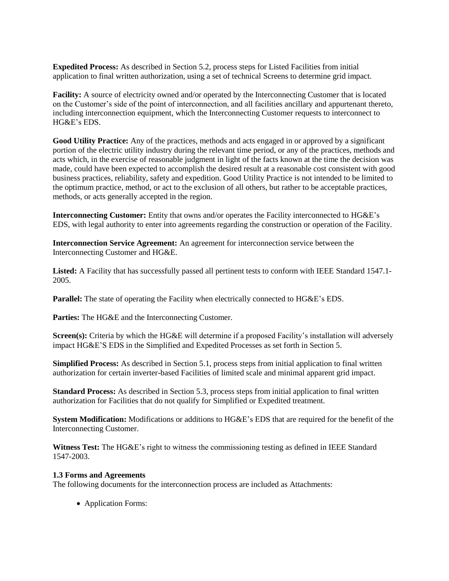**Expedited Process:** As described in Section 5.2, process steps for Listed Facilities from initial application to final written authorization, using a set of technical Screens to determine grid impact.

**Facility:** A source of electricity owned and/or operated by the Interconnecting Customer that is located on the Customer's side of the point of interconnection, and all facilities ancillary and appurtenant thereto, including interconnection equipment, which the Interconnecting Customer requests to interconnect to HG&E's EDS.

**Good Utility Practice:** Any of the practices, methods and acts engaged in or approved by a significant portion of the electric utility industry during the relevant time period, or any of the practices, methods and acts which, in the exercise of reasonable judgment in light of the facts known at the time the decision was made, could have been expected to accomplish the desired result at a reasonable cost consistent with good business practices, reliability, safety and expedition. Good Utility Practice is not intended to be limited to the optimum practice, method, or act to the exclusion of all others, but rather to be acceptable practices, methods, or acts generally accepted in the region.

**Interconnecting Customer:** Entity that owns and/or operates the Facility interconnected to HG&E's EDS, with legal authority to enter into agreements regarding the construction or operation of the Facility.

**Interconnection Service Agreement:** An agreement for interconnection service between the Interconnecting Customer and HG&E.

**Listed:** A Facility that has successfully passed all pertinent tests to conform with IEEE Standard 1547.1- 2005.

**Parallel:** The state of operating the Facility when electrically connected to HG&E's EDS.

**Parties:** The HG&E and the Interconnecting Customer.

**Screen(s):** Criteria by which the HG&E will determine if a proposed Facility's installation will adversely impact HG&E'S EDS in the Simplified and Expedited Processes as set forth in Section 5.

**Simplified Process:** As described in Section 5.1, process steps from initial application to final written authorization for certain inverter-based Facilities of limited scale and minimal apparent grid impact.

**Standard Process:** As described in Section 5.3, process steps from initial application to final written authorization for Facilities that do not qualify for Simplified or Expedited treatment.

**System Modification:** Modifications or additions to HG&E's EDS that are required for the benefit of the Interconnecting Customer.

**Witness Test:** The HG&E's right to witness the commissioning testing as defined in IEEE Standard 1547-2003.

#### **1.3 Forms and Agreements**

The following documents for the interconnection process are included as Attachments:

• Application Forms: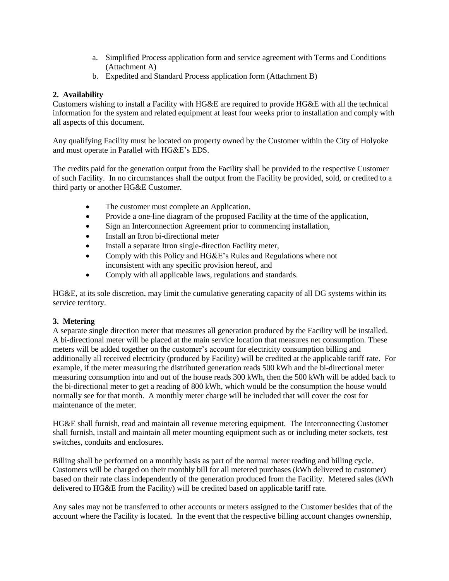- a. Simplified Process application form and service agreement with Terms and Conditions (Attachment A)
- b. Expedited and Standard Process application form (Attachment B)

## **2. Availability**

Customers wishing to install a Facility with HG&E are required to provide HG&E with all the technical information for the system and related equipment at least four weeks prior to installation and comply with all aspects of this document.

Any qualifying Facility must be located on property owned by the Customer within the City of Holyoke and must operate in Parallel with HG&E's EDS.

The credits paid for the generation output from the Facility shall be provided to the respective Customer of such Facility. In no circumstances shall the output from the Facility be provided, sold, or credited to a third party or another HG&E Customer.

- The customer must complete an Application,
- Provide a one-line diagram of the proposed Facility at the time of the application,
- Sign an Interconnection Agreement prior to commencing installation,
- Install an Itron bi-directional meter
- Install a separate Itron single-direction Facility meter,
- Comply with this Policy and HG&E's Rules and Regulations where not inconsistent with any specific provision hereof, and
- Comply with all applicable laws, regulations and standards.

HG&E, at its sole discretion, may limit the cumulative generating capacity of all DG systems within its service territory.

#### **3. Metering**

A separate single direction meter that measures all generation produced by the Facility will be installed. A bi-directional meter will be placed at the main service location that measures net consumption. These meters will be added together on the customer's account for electricity consumption billing and additionally all received electricity (produced by Facility) will be credited at the applicable tariff rate. For example, if the meter measuring the distributed generation reads 500 kWh and the bi-directional meter measuring consumption into and out of the house reads 300 kWh, then the 500 kWh will be added back to the bi-directional meter to get a reading of 800 kWh, which would be the consumption the house would normally see for that month. A monthly meter charge will be included that will cover the cost for maintenance of the meter.

HG&E shall furnish, read and maintain all revenue metering equipment. The Interconnecting Customer shall furnish, install and maintain all meter mounting equipment such as or including meter sockets, test switches, conduits and enclosures.

Billing shall be performed on a monthly basis as part of the normal meter reading and billing cycle. Customers will be charged on their monthly bill for all metered purchases (kWh delivered to customer) based on their rate class independently of the generation produced from the Facility. Metered sales (kWh delivered to HG&E from the Facility) will be credited based on applicable tariff rate.

Any sales may not be transferred to other accounts or meters assigned to the Customer besides that of the account where the Facility is located. In the event that the respective billing account changes ownership,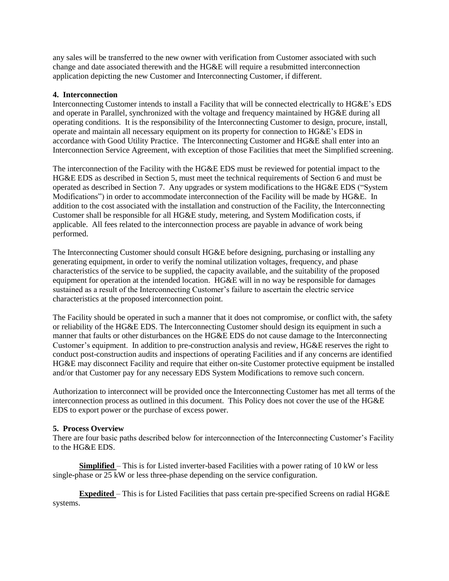any sales will be transferred to the new owner with verification from Customer associated with such change and date associated therewith and the HG&E will require a resubmitted interconnection application depicting the new Customer and Interconnecting Customer, if different.

### **4. Interconnection**

Interconnecting Customer intends to install a Facility that will be connected electrically to HG&E's EDS and operate in Parallel, synchronized with the voltage and frequency maintained by HG&E during all operating conditions. It is the responsibility of the Interconnecting Customer to design, procure, install, operate and maintain all necessary equipment on its property for connection to HG&E's EDS in accordance with Good Utility Practice. The Interconnecting Customer and HG&E shall enter into an Interconnection Service Agreement, with exception of those Facilities that meet the Simplified screening.

The interconnection of the Facility with the HG&E EDS must be reviewed for potential impact to the HG&E EDS as described in Section 5, must meet the technical requirements of Section 6 and must be operated as described in Section 7. Any upgrades or system modifications to the HG&E EDS ("System Modifications") in order to accommodate interconnection of the Facility will be made by HG&E. In addition to the cost associated with the installation and construction of the Facility, the Interconnecting Customer shall be responsible for all HG&E study, metering, and System Modification costs, if applicable. All fees related to the interconnection process are payable in advance of work being performed.

The Interconnecting Customer should consult HG&E before designing, purchasing or installing any generating equipment, in order to verify the nominal utilization voltages, frequency, and phase characteristics of the service to be supplied, the capacity available, and the suitability of the proposed equipment for operation at the intended location. HG&E will in no way be responsible for damages sustained as a result of the Interconnecting Customer's failure to ascertain the electric service characteristics at the proposed interconnection point.

The Facility should be operated in such a manner that it does not compromise, or conflict with, the safety or reliability of the HG&E EDS. The Interconnecting Customer should design its equipment in such a manner that faults or other disturbances on the HG&E EDS do not cause damage to the Interconnecting Customer's equipment. In addition to pre-construction analysis and review, HG&E reserves the right to conduct post-construction audits and inspections of operating Facilities and if any concerns are identified HG&E may disconnect Facility and require that either on-site Customer protective equipment be installed and/or that Customer pay for any necessary EDS System Modifications to remove such concern.

Authorization to interconnect will be provided once the Interconnecting Customer has met all terms of the interconnection process as outlined in this document. This Policy does not cover the use of the HG&E EDS to export power or the purchase of excess power.

#### **5. Process Overview**

There are four basic paths described below for interconnection of the Interconnecting Customer's Facility to the HG&E EDS.

**Simplified** – This is for Listed inverter-based Facilities with a power rating of 10 kW or less single-phase or 25 kW or less three-phase depending on the service configuration.

**Expedited** – This is for Listed Facilities that pass certain pre-specified Screens on radial HG&E systems.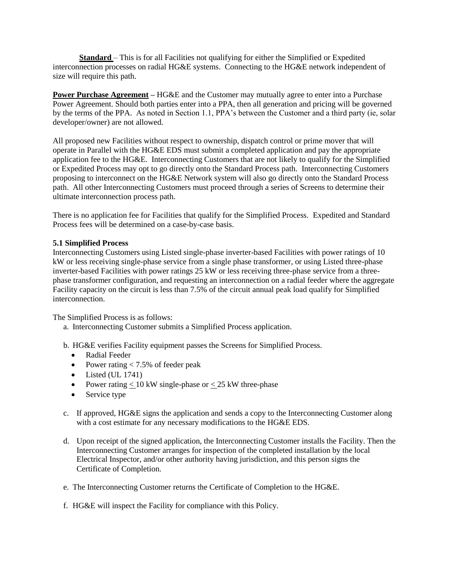**Standard** – This is for all Facilities not qualifying for either the Simplified or Expedited interconnection processes on radial HG&E systems. Connecting to the HG&E network independent of size will require this path.

**Power Purchase Agreement** – HG&E and the Customer may mutually agree to enter into a Purchase Power Agreement. Should both parties enter into a PPA, then all generation and pricing will be governed by the terms of the PPA. As noted in Section 1.1, PPA's between the Customer and a third party (ie, solar developer/owner) are not allowed.

All proposed new Facilities without respect to ownership, dispatch control or prime mover that will operate in Parallel with the HG&E EDS must submit a completed application and pay the appropriate application fee to the HG&E. Interconnecting Customers that are not likely to qualify for the Simplified or Expedited Process may opt to go directly onto the Standard Process path. Interconnecting Customers proposing to interconnect on the HG&E Network system will also go directly onto the Standard Process path. All other Interconnecting Customers must proceed through a series of Screens to determine their ultimate interconnection process path.

There is no application fee for Facilities that qualify for the Simplified Process. Expedited and Standard Process fees will be determined on a case-by-case basis.

#### **5.1 Simplified Process**

Interconnecting Customers using Listed single-phase inverter-based Facilities with power ratings of 10 kW or less receiving single-phase service from a single phase transformer, or using Listed three-phase inverter-based Facilities with power ratings 25 kW or less receiving three-phase service from a threephase transformer configuration, and requesting an interconnection on a radial feeder where the aggregate Facility capacity on the circuit is less than 7.5% of the circuit annual peak load qualify for Simplified interconnection.

The Simplified Process is as follows:

- a. Interconnecting Customer submits a Simplified Process application.
- b. HG&E verifies Facility equipment passes the Screens for Simplified Process.
	- Radial Feeder
	- Power rating  $< 7.5\%$  of feeder peak
	- $\bullet$  Listed (UL 1741)
	- Power rating  $< 10$  kW single-phase or  $< 25$  kW three-phase
	- Service type
- c. If approved, HG&E signs the application and sends a copy to the Interconnecting Customer along with a cost estimate for any necessary modifications to the HG&E EDS.
- d. Upon receipt of the signed application, the Interconnecting Customer installs the Facility. Then the Interconnecting Customer arranges for inspection of the completed installation by the local Electrical Inspector, and/or other authority having jurisdiction, and this person signs the Certificate of Completion.
- e. The Interconnecting Customer returns the Certificate of Completion to the HG&E.
- f. HG&E will inspect the Facility for compliance with this Policy.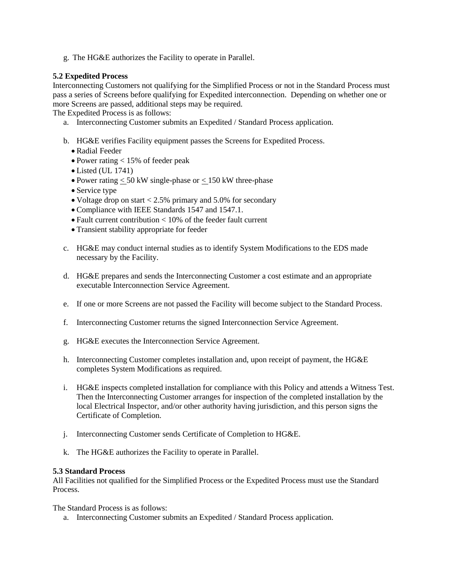g. The HG&E authorizes the Facility to operate in Parallel.

# **5.2 Expedited Process**

Interconnecting Customers not qualifying for the Simplified Process or not in the Standard Process must pass a series of Screens before qualifying for Expedited interconnection. Depending on whether one or more Screens are passed, additional steps may be required.

The Expedited Process is as follows:

- a. Interconnecting Customer submits an Expedited / Standard Process application.
- b. HG&E verifies Facility equipment passes the Screens for Expedited Process.
	- Radial Feeder
	- $\bullet$  Power rating  $<$  15% of feeder peak
	- Listed (UL 1741)
	- Power rating  $\leq 50$  kW single-phase or  $\leq 150$  kW three-phase
	- Service type
	- Voltage drop on start  $< 2.5\%$  primary and 5.0% for secondary
	- Compliance with IEEE Standards 1547 and 1547.1.
	- Fault current contribution < 10% of the feeder fault current
	- Transient stability appropriate for feeder
- c. HG&E may conduct internal studies as to identify System Modifications to the EDS made necessary by the Facility.
- d. HG&E prepares and sends the Interconnecting Customer a cost estimate and an appropriate executable Interconnection Service Agreement.
- e. If one or more Screens are not passed the Facility will become subject to the Standard Process.
- f. Interconnecting Customer returns the signed Interconnection Service Agreement.
- g. HG&E executes the Interconnection Service Agreement.
- h. Interconnecting Customer completes installation and, upon receipt of payment, the HG&E completes System Modifications as required.
- i. HG&E inspects completed installation for compliance with this Policy and attends a Witness Test. Then the Interconnecting Customer arranges for inspection of the completed installation by the local Electrical Inspector, and/or other authority having jurisdiction, and this person signs the Certificate of Completion.
- j. Interconnecting Customer sends Certificate of Completion to HG&E.
- k. The HG&E authorizes the Facility to operate in Parallel.

#### **5.3 Standard Process**

All Facilities not qualified for the Simplified Process or the Expedited Process must use the Standard Process.

The Standard Process is as follows:

a. Interconnecting Customer submits an Expedited / Standard Process application.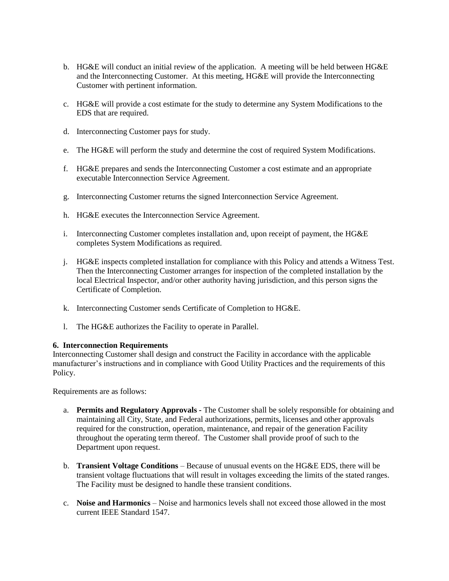- b. HG&E will conduct an initial review of the application. A meeting will be held between HG&E and the Interconnecting Customer. At this meeting, HG&E will provide the Interconnecting Customer with pertinent information.
- c. HG&E will provide a cost estimate for the study to determine any System Modifications to the EDS that are required.
- d. Interconnecting Customer pays for study.
- e. The HG&E will perform the study and determine the cost of required System Modifications.
- f. HG&E prepares and sends the Interconnecting Customer a cost estimate and an appropriate executable Interconnection Service Agreement.
- g. Interconnecting Customer returns the signed Interconnection Service Agreement.
- h. HG&E executes the Interconnection Service Agreement.
- i. Interconnecting Customer completes installation and, upon receipt of payment, the HG&E completes System Modifications as required.
- j. HG&E inspects completed installation for compliance with this Policy and attends a Witness Test. Then the Interconnecting Customer arranges for inspection of the completed installation by the local Electrical Inspector, and/or other authority having jurisdiction, and this person signs the Certificate of Completion.
- k. Interconnecting Customer sends Certificate of Completion to HG&E.
- l. The HG&E authorizes the Facility to operate in Parallel.

#### **6. Interconnection Requirements**

Interconnecting Customer shall design and construct the Facility in accordance with the applicable manufacturer's instructions and in compliance with Good Utility Practices and the requirements of this Policy.

Requirements are as follows:

- a. **Permits and Regulatory Approvals -** The Customer shall be solely responsible for obtaining and maintaining all City, State, and Federal authorizations, permits, licenses and other approvals required for the construction, operation, maintenance, and repair of the generation Facility throughout the operating term thereof. The Customer shall provide proof of such to the Department upon request.
- b. **Transient Voltage Conditions**  Because of unusual events on the HG&E EDS, there will be transient voltage fluctuations that will result in voltages exceeding the limits of the stated ranges. The Facility must be designed to handle these transient conditions.
- c. **Noise and Harmonics**  Noise and harmonics levels shall not exceed those allowed in the most current IEEE Standard 1547.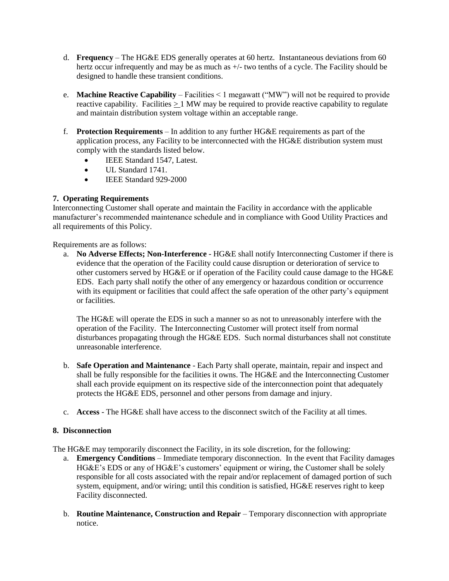- d. **Frequency**  The HG&E EDS generally operates at 60 hertz. Instantaneous deviations from 60 hertz occur infrequently and may be as much as  $+/-$  two tenths of a cycle. The Facility should be designed to handle these transient conditions.
- e. **Machine Reactive Capability** Facilities < 1 megawatt ("MW") will not be required to provide reactive capability. Facilities > 1 MW may be required to provide reactive capability to regulate and maintain distribution system voltage within an acceptable range.
- f. **Protection Requirements**  In addition to any further HG&E requirements as part of the application process, any Facility to be interconnected with the HG&E distribution system must comply with the standards listed below.
	- IEEE Standard 1547, Latest.
	- UL Standard 1741.
	- IEEE Standard 929-2000

# **7. Operating Requirements**

Interconnecting Customer shall operate and maintain the Facility in accordance with the applicable manufacturer's recommended maintenance schedule and in compliance with Good Utility Practices and all requirements of this Policy.

Requirements are as follows:

a. **No Adverse Effects; Non-Interference** - HG&E shall notify Interconnecting Customer if there is evidence that the operation of the Facility could cause disruption or deterioration of service to other customers served by HG&E or if operation of the Facility could cause damage to the HG&E EDS. Each party shall notify the other of any emergency or hazardous condition or occurrence with its equipment or facilities that could affect the safe operation of the other party's equipment or facilities.

The HG&E will operate the EDS in such a manner so as not to unreasonably interfere with the operation of the Facility. The Interconnecting Customer will protect itself from normal disturbances propagating through the HG&E EDS. Such normal disturbances shall not constitute unreasonable interference.

- b. **Safe Operation and Maintenance**  Each Party shall operate, maintain, repair and inspect and shall be fully responsible for the facilities it owns. The HG&E and the Interconnecting Customer shall each provide equipment on its respective side of the interconnection point that adequately protects the HG&E EDS, personnel and other persons from damage and injury.
- c. **Access**  The HG&E shall have access to the disconnect switch of the Facility at all times.

# **8. Disconnection**

The HG&E may temporarily disconnect the Facility, in its sole discretion, for the following:

- a. **Emergency Conditions**  Immediate temporary disconnection. In the event that Facility damages HG&E's EDS or any of HG&E's customers' equipment or wiring, the Customer shall be solely responsible for all costs associated with the repair and/or replacement of damaged portion of such system, equipment, and/or wiring; until this condition is satisfied, HG&E reserves right to keep Facility disconnected.
- b. **Routine Maintenance, Construction and Repair**  Temporary disconnection with appropriate notice.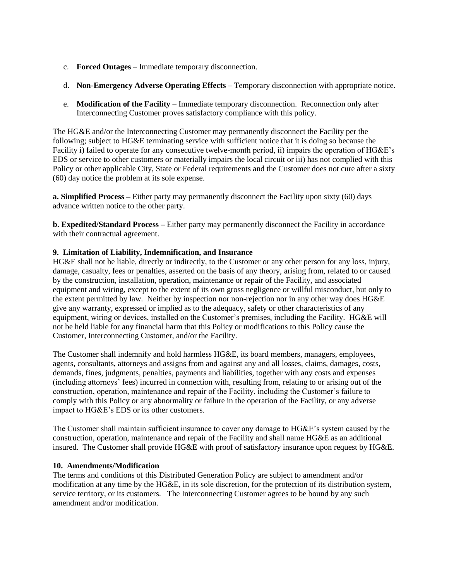- c. **Forced Outages**  Immediate temporary disconnection.
- d. **Non-Emergency Adverse Operating Effects**  Temporary disconnection with appropriate notice.
- e. **Modification of the Facility**  Immediate temporary disconnection. Reconnection only after Interconnecting Customer proves satisfactory compliance with this policy.

The HG&E and/or the Interconnecting Customer may permanently disconnect the Facility per the following; subject to HG&E terminating service with sufficient notice that it is doing so because the Facility i) failed to operate for any consecutive twelve-month period, ii) impairs the operation of HG&E's EDS or service to other customers or materially impairs the local circuit or iii) has not complied with this Policy or other applicable City, State or Federal requirements and the Customer does not cure after a sixty (60) day notice the problem at its sole expense.

**a. Simplified Process –** Either party may permanently disconnect the Facility upon sixty (60) days advance written notice to the other party.

**b. Expedited/Standard Process –** Either party may permanently disconnect the Facility in accordance with their contractual agreement.

## **9. Limitation of Liability, Indemnification, and Insurance**

HG&E shall not be liable, directly or indirectly, to the Customer or any other person for any loss, injury, damage, casualty, fees or penalties, asserted on the basis of any theory, arising from, related to or caused by the construction, installation, operation, maintenance or repair of the Facility, and associated equipment and wiring, except to the extent of its own gross negligence or willful misconduct, but only to the extent permitted by law. Neither by inspection nor non-rejection nor in any other way does HG&E give any warranty, expressed or implied as to the adequacy, safety or other characteristics of any equipment, wiring or devices, installed on the Customer's premises, including the Facility. HG&E will not be held liable for any financial harm that this Policy or modifications to this Policy cause the Customer, Interconnecting Customer, and/or the Facility.

The Customer shall indemnify and hold harmless HG&E, its board members, managers, employees, agents, consultants, attorneys and assigns from and against any and all losses, claims, damages, costs, demands, fines, judgments, penalties, payments and liabilities, together with any costs and expenses (including attorneys' fees) incurred in connection with, resulting from, relating to or arising out of the construction, operation, maintenance and repair of the Facility, including the Customer's failure to comply with this Policy or any abnormality or failure in the operation of the Facility, or any adverse impact to HG&E's EDS or its other customers.

The Customer shall maintain sufficient insurance to cover any damage to HG&E's system caused by the construction, operation, maintenance and repair of the Facility and shall name HG&E as an additional insured. The Customer shall provide HG&E with proof of satisfactory insurance upon request by HG&E.

#### **10. Amendments/Modification**

The terms and conditions of this Distributed Generation Policy are subject to amendment and/or modification at any time by the HG&E, in its sole discretion, for the protection of its distribution system, service territory, or its customers. The Interconnecting Customer agrees to be bound by any such amendment and/or modification.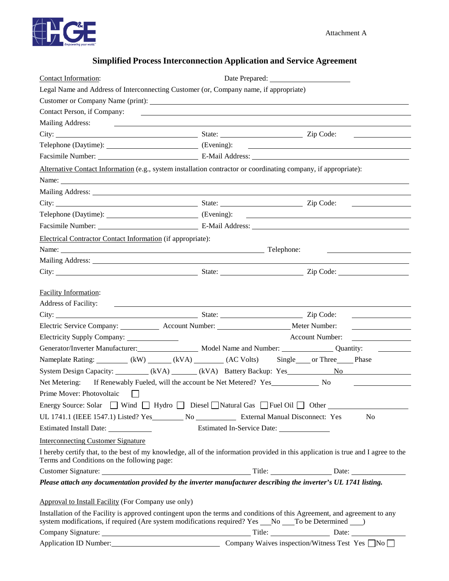

# **Simplified Process Interconnection Application and Service Agreement**

| Contact Information:                                                                                                                                                                                                               |                                           |                        |  |
|------------------------------------------------------------------------------------------------------------------------------------------------------------------------------------------------------------------------------------|-------------------------------------------|------------------------|--|
| Legal Name and Address of Interconnecting Customer (or, Company name, if appropriate)                                                                                                                                              |                                           |                        |  |
|                                                                                                                                                                                                                                    |                                           |                        |  |
| Contact Person, if Company:                                                                                                                                                                                                        |                                           |                        |  |
| Mailing Address:                                                                                                                                                                                                                   |                                           |                        |  |
| City: <u>City:</u> Zip Code:                                                                                                                                                                                                       |                                           |                        |  |
|                                                                                                                                                                                                                                    |                                           |                        |  |
| Facsimile Number: E-Mail Address: E-Mail Address:                                                                                                                                                                                  |                                           |                        |  |
| Alternative Contact Information (e.g., system installation contractor or coordinating company, if appropriate):                                                                                                                    |                                           |                        |  |
|                                                                                                                                                                                                                                    |                                           |                        |  |
| Mailing Address: National Address: National Address: National Address: National Address: National Address: National Address: National Address: National Address: National Address: National Address: National Address: Nationa     |                                           |                        |  |
| City: <u>City:</u> Zip Code:                                                                                                                                                                                                       |                                           |                        |  |
|                                                                                                                                                                                                                                    |                                           |                        |  |
|                                                                                                                                                                                                                                    |                                           |                        |  |
| Electrical Contractor Contact Information (if appropriate):                                                                                                                                                                        |                                           |                        |  |
|                                                                                                                                                                                                                                    |                                           |                        |  |
|                                                                                                                                                                                                                                    |                                           |                        |  |
| City: City: City: City: City: City: City: City: City: City: City: City: City: City: City: City: City: City: City: City: City: City: City: City: City: City: City: City: City: City: City: City: City: City: City: City: City:      |                                           |                        |  |
|                                                                                                                                                                                                                                    |                                           |                        |  |
| <b>Facility Information:</b>                                                                                                                                                                                                       |                                           |                        |  |
| <b>Address of Facility:</b><br><u> 1989 - Andrea Station, amerikansk politik (</u>                                                                                                                                                 |                                           |                        |  |
| City: <u>City:</u> 22ip Code:                                                                                                                                                                                                      |                                           |                        |  |
|                                                                                                                                                                                                                                    |                                           |                        |  |
|                                                                                                                                                                                                                                    |                                           | <b>Account Number:</b> |  |
| Generator/Inverter Manufacturer: Model Name and Number: Quantity:                                                                                                                                                                  |                                           |                        |  |
| Nameplate Rating: (kW) (kW) (kVA) (AC Volts) Single or Three Phase                                                                                                                                                                 |                                           |                        |  |
| System Design Capacity: _________ (kVA) ______ (kVA) Battery Backup: Yes _________ No                                                                                                                                              |                                           |                        |  |
| Net Metering: If Renewably Fueled, will the account be Net Metered? Yes________________ No                                                                                                                                         |                                           |                        |  |
| Prime Mover: Photovoltaic<br>$\perp$                                                                                                                                                                                               |                                           |                        |  |
| Energy Source: Solar $\Box$ Wind $\Box$ Hydro $\Box$ Diesel $\Box$ Natural Gas $\Box$ Fuel Oil $\Box$ Other $\Box$                                                                                                                 |                                           |                        |  |
|                                                                                                                                                                                                                                    |                                           | N <sub>0</sub>         |  |
| Estimated Install Date: _____________                                                                                                                                                                                              | Estimated In-Service Date: ______________ |                        |  |
| <b>Interconnecting Customer Signature</b>                                                                                                                                                                                          |                                           |                        |  |
| I hereby certify that, to the best of my knowledge, all of the information provided in this application is true and I agree to the<br>Terms and Conditions on the following page:                                                  |                                           |                        |  |
|                                                                                                                                                                                                                                    |                                           |                        |  |
| Please attach any documentation provided by the inverter manufacturer describing the inverter's UL 1741 listing.                                                                                                                   |                                           |                        |  |
|                                                                                                                                                                                                                                    |                                           |                        |  |
| Approval to Install Facility (For Company use only)                                                                                                                                                                                |                                           |                        |  |
| Installation of the Facility is approved contingent upon the terms and conditions of this Agreement, and agreement to any<br>system modifications, if required (Are system modifications required? Yes __No __To be Determined __) |                                           |                        |  |
|                                                                                                                                                                                                                                    |                                           |                        |  |
| Application ID Number: Company Waives inspection/Witness Test Yes ■No                                                                                                                                                              |                                           |                        |  |
|                                                                                                                                                                                                                                    |                                           |                        |  |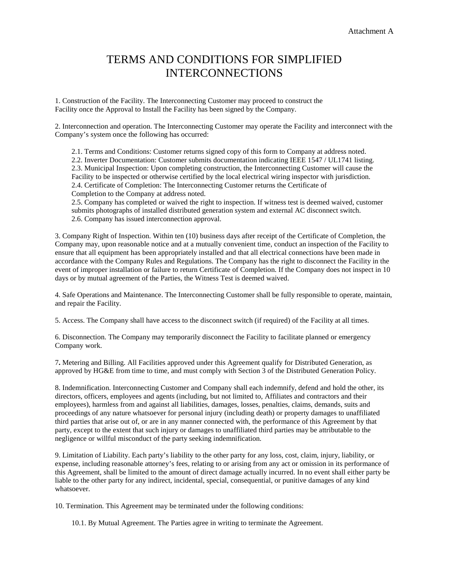# TERMS AND CONDITIONS FOR SIMPLIFIED INTERCONNECTIONS

1. Construction of the Facility. The Interconnecting Customer may proceed to construct the Facility once the Approval to Install the Facility has been signed by the Company.

2. Interconnection and operation. The Interconnecting Customer may operate the Facility and interconnect with the Company's system once the following has occurred:

2.1. Terms and Conditions: Customer returns signed copy of this form to Company at address noted.

2.2. Inverter Documentation: Customer submits documentation indicating IEEE 1547 / UL1741 listing. 2.3. Municipal Inspection: Upon completing construction, the Interconnecting Customer will cause the Facility to be inspected or otherwise certified by the local electrical wiring inspector with jurisdiction. 2.4. Certificate of Completion: The Interconnecting Customer returns the Certificate of Completion to the Company at address noted.

2.5. Company has completed or waived the right to inspection. If witness test is deemed waived, customer submits photographs of installed distributed generation system and external AC disconnect switch. 2.6. Company has issued interconnection approval.

3. Company Right of Inspection. Within ten (10) business days after receipt of the Certificate of Completion, the Company may, upon reasonable notice and at a mutually convenient time, conduct an inspection of the Facility to ensure that all equipment has been appropriately installed and that all electrical connections have been made in accordance with the Company Rules and Regulations. The Company has the right to disconnect the Facility in the event of improper installation or failure to return Certificate of Completion. If the Company does not inspect in 10 days or by mutual agreement of the Parties, the Witness Test is deemed waived.

4. Safe Operations and Maintenance. The Interconnecting Customer shall be fully responsible to operate, maintain, and repair the Facility.

5. Access. The Company shall have access to the disconnect switch (if required) of the Facility at all times.

6. Disconnection. The Company may temporarily disconnect the Facility to facilitate planned or emergency Company work.

7**.** Metering and Billing. All Facilities approved under this Agreement qualify for Distributed Generation, as approved by HG&E from time to time, and must comply with Section 3 of the Distributed Generation Policy.

8. Indemnification. Interconnecting Customer and Company shall each indemnify, defend and hold the other, its directors, officers, employees and agents (including, but not limited to, Affiliates and contractors and their employees), harmless from and against all liabilities, damages, losses, penalties, claims, demands, suits and proceedings of any nature whatsoever for personal injury (including death) or property damages to unaffiliated third parties that arise out of, or are in any manner connected with, the performance of this Agreement by that party, except to the extent that such injury or damages to unaffiliated third parties may be attributable to the negligence or willful misconduct of the party seeking indemnification.

9. Limitation of Liability. Each party's liability to the other party for any loss, cost, claim, injury, liability, or expense, including reasonable attorney's fees, relating to or arising from any act or omission in its performance of this Agreement, shall be limited to the amount of direct damage actually incurred. In no event shall either party be liable to the other party for any indirect, incidental, special, consequential, or punitive damages of any kind whatsoever.

10. Termination. This Agreement may be terminated under the following conditions:

10.1. By Mutual Agreement. The Parties agree in writing to terminate the Agreement.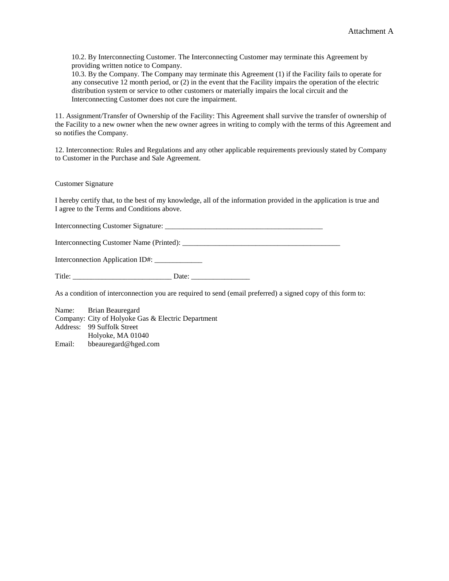10.2. By Interconnecting Customer. The Interconnecting Customer may terminate this Agreement by providing written notice to Company.

10.3. By the Company. The Company may terminate this Agreement (1) if the Facility fails to operate for any consecutive 12 month period, or (2) in the event that the Facility impairs the operation of the electric distribution system or service to other customers or materially impairs the local circuit and the Interconnecting Customer does not cure the impairment.

11. Assignment/Transfer of Ownership of the Facility: This Agreement shall survive the transfer of ownership of the Facility to a new owner when the new owner agrees in writing to comply with the terms of this Agreement and so notifies the Company.

12. Interconnection: Rules and Regulations and any other applicable requirements previously stated by Company to Customer in the Purchase and Sale Agreement.

Customer Signature

I hereby certify that, to the best of my knowledge, all of the information provided in the application is true and I agree to the Terms and Conditions above.

Interconnecting Customer Signature: \_\_\_\_\_\_\_\_\_\_\_\_\_\_\_\_\_\_\_\_\_\_\_\_\_\_\_\_\_\_\_\_\_\_\_\_\_\_\_\_\_\_\_

Interconnecting Customer Name (Printed): \_\_\_\_\_\_\_\_\_\_\_\_\_\_\_\_\_\_\_\_\_\_\_\_\_\_\_\_\_\_\_\_\_\_\_\_\_\_\_\_\_\_\_

Interconnection Application ID#: \_\_\_\_\_\_\_\_\_\_\_\_\_

Title: \_\_\_\_\_\_\_\_\_\_\_\_\_\_\_\_\_\_\_\_\_\_\_\_\_\_\_ Date: \_\_\_\_\_\_\_\_\_\_\_\_\_\_\_\_

As a condition of interconnection you are required to send (email preferred) a signed copy of this form to:

Name: Brian Beauregard Company: City of Holyoke Gas & Electric Department Address: 99 Suffolk Street Holyoke, MA 01040 Email: bbeauregard@hged.com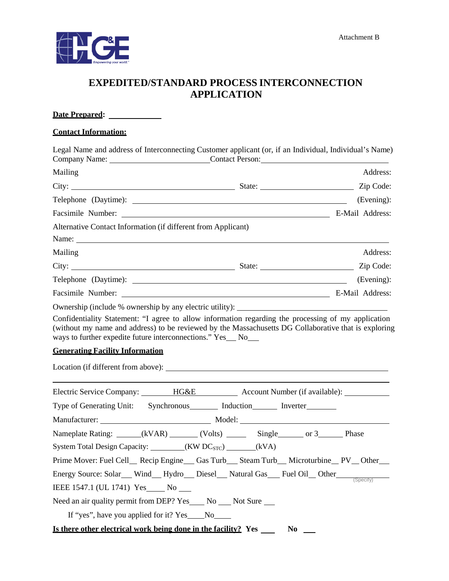

# **EXPEDITED/STANDARD PROCESS INTERCONNECTION APPLICATION**

| Date Prepared:                                                                                                                                                                                                |                                                                                                                                                                                                                               |            |
|---------------------------------------------------------------------------------------------------------------------------------------------------------------------------------------------------------------|-------------------------------------------------------------------------------------------------------------------------------------------------------------------------------------------------------------------------------|------------|
| <b>Contact Information:</b>                                                                                                                                                                                   |                                                                                                                                                                                                                               |            |
| Legal Name and address of Interconnecting Customer applicant (or, if an Individual, Individual's Name)                                                                                                        |                                                                                                                                                                                                                               |            |
| Mailing                                                                                                                                                                                                       |                                                                                                                                                                                                                               | Address:   |
|                                                                                                                                                                                                               |                                                                                                                                                                                                                               | Zip Code:  |
|                                                                                                                                                                                                               |                                                                                                                                                                                                                               | (Evening): |
|                                                                                                                                                                                                               |                                                                                                                                                                                                                               |            |
| Alternative Contact Information (if different from Applicant)                                                                                                                                                 |                                                                                                                                                                                                                               |            |
| Mailing                                                                                                                                                                                                       |                                                                                                                                                                                                                               | Address:   |
| City: State: State:                                                                                                                                                                                           |                                                                                                                                                                                                                               | Zip Code:  |
|                                                                                                                                                                                                               |                                                                                                                                                                                                                               | (Evening): |
|                                                                                                                                                                                                               |                                                                                                                                                                                                                               |            |
| (without my name and address) to be reviewed by the Massachusetts DG Collaborative that is exploring<br>ways to further expedite future interconnections." Yes_ No_<br><b>Generating Facility Information</b> |                                                                                                                                                                                                                               |            |
| Electric Service Company: HG&E Account Number (if available): __________                                                                                                                                      |                                                                                                                                                                                                                               |            |
| Type of Generating Unit: Synchronous Induction Inverter                                                                                                                                                       |                                                                                                                                                                                                                               |            |
|                                                                                                                                                                                                               |                                                                                                                                                                                                                               |            |
| Nameplate Rating: _____(kVAR) ______(Volts) _______ Single ______ or 3______ Phase                                                                                                                            |                                                                                                                                                                                                                               |            |
| System Total Design Capacity: _________(KW DC <sub>STC</sub> ) _______(kVA)                                                                                                                                   |                                                                                                                                                                                                                               |            |
| Prime Mover: Fuel Cell_ Recip Engine__ Gas Turb__ Steam Turb__ Microturbine_PV_Other__                                                                                                                        |                                                                                                                                                                                                                               |            |
| Energy Source: Solar__ Wind__ Hydro__ Diesel__ Natural Gas___ Fuel Oil__ Other____                                                                                                                            |                                                                                                                                                                                                                               |            |
| IEEE 1547.1 (UL 1741) Yes No ____                                                                                                                                                                             |                                                                                                                                                                                                                               |            |
| Need an air quality permit from DEP? Yes _____ No _____ Not Sure ____                                                                                                                                         |                                                                                                                                                                                                                               |            |
| If "yes", have you applied for it? Yes ______No_______                                                                                                                                                        |                                                                                                                                                                                                                               |            |
| Is there other electrical work being done in the facility? Yes                                                                                                                                                | No represents the New York of the New York of the New York of the New York of the New York of the New York of the New York of the New York of the New York of the New York of the New York of the New York of the New York of |            |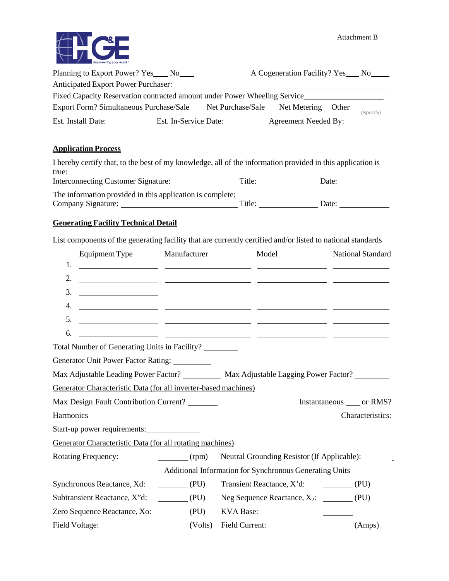

| Planning to Export Power? Yes No                                          |                       | A Cogeneration Facility? Yes No      |          |
|---------------------------------------------------------------------------|-----------------------|--------------------------------------|----------|
| <b>Anticipated Export Power Purchaser:</b>                                |                       |                                      |          |
| Fixed Capacity Reservation contracted amount under Power Wheeling Service |                       |                                      |          |
| Export Form? Simultaneous Purchase/Sale                                   |                       | Net Purchase/Sale Net Metering Other |          |
| Est. Install Date:                                                        | Est. In-Service Date: | Agreement Needed By:                 | Specify) |

# **Application Process**

| I hereby certify that, to the best of my knowledge, all of the information provided in this application is |        |       |  |
|------------------------------------------------------------------------------------------------------------|--------|-------|--|
| true:                                                                                                      |        |       |  |
| <b>Interconnecting Customer Signature:</b>                                                                 | Title: | Date: |  |
| The information provided in this application is complete:                                                  |        |       |  |
| Company Signature:                                                                                         | Title: | Date: |  |

# **Generating Facility Technical Detail**

List components of the generating facility that are currently certified and/or listed to national standards

| Equipment Type<br>Manufacturer                                                                                                                                                                                                                                                                                                                                                                                                         | Model                                          | <b>National Standard</b> |
|----------------------------------------------------------------------------------------------------------------------------------------------------------------------------------------------------------------------------------------------------------------------------------------------------------------------------------------------------------------------------------------------------------------------------------------|------------------------------------------------|--------------------------|
| 1.                                                                                                                                                                                                                                                                                                                                                                                                                                     |                                                |                          |
| 2.                                                                                                                                                                                                                                                                                                                                                                                                                                     |                                                |                          |
| 3.<br><u> 1999 - Johann John Stone, mars and de format de la provincia de la provincia de la provincia de la provincia</u>                                                                                                                                                                                                                                                                                                             |                                                |                          |
| 4.                                                                                                                                                                                                                                                                                                                                                                                                                                     |                                                |                          |
| 5.                                                                                                                                                                                                                                                                                                                                                                                                                                     |                                                |                          |
| 6.                                                                                                                                                                                                                                                                                                                                                                                                                                     |                                                |                          |
| Total Number of Generating Units in Facility?                                                                                                                                                                                                                                                                                                                                                                                          |                                                |                          |
| Generator Unit Power Factor Rating: _________                                                                                                                                                                                                                                                                                                                                                                                          |                                                |                          |
| Max Adjustable Leading Power Factor? __________ Max Adjustable Lagging Power Factor? ________                                                                                                                                                                                                                                                                                                                                          |                                                |                          |
| Generator Characteristic Data (for all inverter-based machines)                                                                                                                                                                                                                                                                                                                                                                        |                                                |                          |
| Max Design Fault Contribution Current? _______                                                                                                                                                                                                                                                                                                                                                                                         |                                                | Instantaneous or RMS?    |
| Harmonics                                                                                                                                                                                                                                                                                                                                                                                                                              |                                                | Characteristics:         |
| Start-up power requirements:                                                                                                                                                                                                                                                                                                                                                                                                           |                                                |                          |
| Generator Characteristic Data (for all rotating machines)                                                                                                                                                                                                                                                                                                                                                                              |                                                |                          |
| <b>Rotating Frequency:</b><br>$\frac{1}{\text{rpm}}$                                                                                                                                                                                                                                                                                                                                                                                   | Neutral Grounding Resistor (If Applicable):    |                          |
| <b>Example 2.1 Additional Information for Synchronous Generating Units</b>                                                                                                                                                                                                                                                                                                                                                             |                                                |                          |
| Synchronous Reactance, Xd:<br>(PU)                                                                                                                                                                                                                                                                                                                                                                                                     | Transient Reactance, X'd: (PU)                 |                          |
| $\underline{\hspace{1cm}}$ (PU)<br>Subtransient Reactance, X"d:                                                                                                                                                                                                                                                                                                                                                                        | Neg Sequence Reactance, $X_2$ : _________ (PU) |                          |
| Zero Sequence Reactance, Xo: (PU)                                                                                                                                                                                                                                                                                                                                                                                                      | <b>KVA Base:</b>                               |                          |
| Field Voltage:<br>$\frac{1}{\sqrt{1-\frac{1}{2}}\sqrt{1-\frac{1}{2}}\sqrt{1-\frac{1}{2}}\sqrt{1-\frac{1}{2}}\sqrt{1-\frac{1}{2}}\sqrt{1-\frac{1}{2}}\sqrt{1-\frac{1}{2}}\sqrt{1-\frac{1}{2}}\sqrt{1-\frac{1}{2}}\sqrt{1-\frac{1}{2}}\sqrt{1-\frac{1}{2}}\sqrt{1-\frac{1}{2}}\sqrt{1-\frac{1}{2}}\sqrt{1-\frac{1}{2}}\sqrt{1-\frac{1}{2}}\sqrt{1-\frac{1}{2}}\sqrt{1-\frac{1}{2}}\sqrt{1-\frac{1}{2}}\sqrt{1-\frac{1}{2}}\sqrt{1-\frac$ | Field Current:                                 | (Amps)                   |
|                                                                                                                                                                                                                                                                                                                                                                                                                                        |                                                |                          |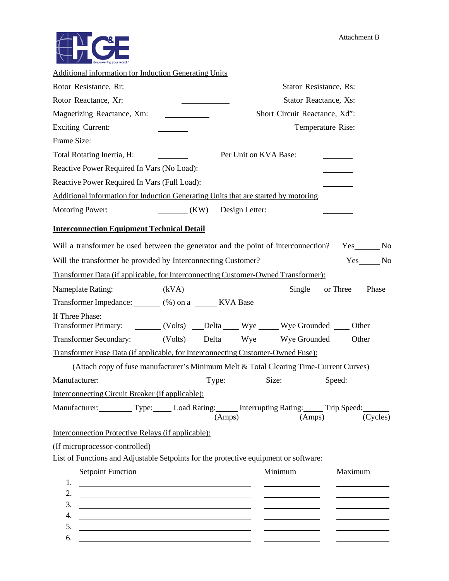

| <b>Additional information for Induction Generating Units</b>                                                                                                                                   |                                                                                                                                                                                                                                |
|------------------------------------------------------------------------------------------------------------------------------------------------------------------------------------------------|--------------------------------------------------------------------------------------------------------------------------------------------------------------------------------------------------------------------------------|
| Rotor Resistance, Rr:                                                                                                                                                                          | Stator Resistance, Rs:                                                                                                                                                                                                         |
| Rotor Reactance, Xr:                                                                                                                                                                           | Stator Reactance, Xs:                                                                                                                                                                                                          |
| Magnetizing Reactance, Xm:                                                                                                                                                                     | Short Circuit Reactance, Xd":                                                                                                                                                                                                  |
| <b>Exciting Current:</b>                                                                                                                                                                       | Temperature Rise:                                                                                                                                                                                                              |
| Frame Size:                                                                                                                                                                                    |                                                                                                                                                                                                                                |
| Total Rotating Inertia, H:                                                                                                                                                                     | Per Unit on KVA Base:                                                                                                                                                                                                          |
| Reactive Power Required In Vars (No Load):                                                                                                                                                     |                                                                                                                                                                                                                                |
| Reactive Power Required In Vars (Full Load):                                                                                                                                                   |                                                                                                                                                                                                                                |
| Additional information for Induction Generating Units that are started by motoring                                                                                                             |                                                                                                                                                                                                                                |
| <b>Motoring Power:</b><br>(KW)                                                                                                                                                                 | Design Letter:                                                                                                                                                                                                                 |
| <b>Interconnection Equipment Technical Detail</b>                                                                                                                                              |                                                                                                                                                                                                                                |
| Will a transformer be used between the generator and the point of interconnection?                                                                                                             |                                                                                                                                                                                                                                |
| Will the transformer be provided by Interconnecting Customer?                                                                                                                                  | Yes No                                                                                                                                                                                                                         |
| Transformer Data (if applicable, for Interconnecting Customer-Owned Transformer):                                                                                                              |                                                                                                                                                                                                                                |
| Nameplate Rating: _________(kVA)                                                                                                                                                               | Single ___ or Three _____ Phase                                                                                                                                                                                                |
| Transformer Impedance: (%) on a _______ KVA Base                                                                                                                                               |                                                                                                                                                                                                                                |
| If Three Phase:                                                                                                                                                                                | Transformer Primary: ________ (Volts) ____Delta _____ Wye ______ Wye Grounded _____ Other                                                                                                                                      |
|                                                                                                                                                                                                | Transformer Secondary: ______ (Volts) ___Delta ____ Wye _____ Wye Grounded ____ Other                                                                                                                                          |
| Transformer Fuse Data (if applicable, for Interconnecting Customer-Owned Fuse):                                                                                                                |                                                                                                                                                                                                                                |
|                                                                                                                                                                                                | (Attach copy of fuse manufacturer's Minimum Melt & Total Clearing Time-Current Curves)                                                                                                                                         |
|                                                                                                                                                                                                | Manufacturer: Size: Size: Size: Speed: Speed: Speed: Speed: Speed: Speed: Speed: Speed: Speed: Speed: Speed: Speed: Speed: Speed: Speed: Speed: Speed: Speed: Speed: Speed: Speed: Speed: Speed: Speed: Speed: Speed: Speed: S |
| <b>Interconnecting Circuit Breaker (if applicable):</b>                                                                                                                                        |                                                                                                                                                                                                                                |
|                                                                                                                                                                                                | Manufacturer: Type: Load Rating: Interrupting Rating: Trip Speed:<br>(Cycles)<br>(Amps)<br>(Amps)                                                                                                                              |
| Interconnection Protective Relays (if applicable):                                                                                                                                             |                                                                                                                                                                                                                                |
| (If microprocessor-controlled)                                                                                                                                                                 |                                                                                                                                                                                                                                |
| List of Functions and Adjustable Setpoints for the protective equipment or software:                                                                                                           |                                                                                                                                                                                                                                |
| <b>Setpoint Function</b>                                                                                                                                                                       | Minimum<br>Maximum                                                                                                                                                                                                             |
| 1.                                                                                                                                                                                             |                                                                                                                                                                                                                                |
| 2.<br><u> 1989 - Johann Harry Harry Harry Harry Harry Harry Harry Harry Harry Harry Harry Harry Harry Harry Harry Harry</u><br>3.                                                              |                                                                                                                                                                                                                                |
| <u> 1989 - Johann Harry Harry Harry Harry Harry Harry Harry Harry Harry Harry Harry Harry Harry Harry Harry Harry H</u><br>4.<br><u> 1989 - Johann Barn, fransk politik fotograf (d. 1989)</u> |                                                                                                                                                                                                                                |
| 5.<br><u> 1980 - Johann Barn, fransk politik (d. 1980)</u>                                                                                                                                     |                                                                                                                                                                                                                                |
| 6.                                                                                                                                                                                             |                                                                                                                                                                                                                                |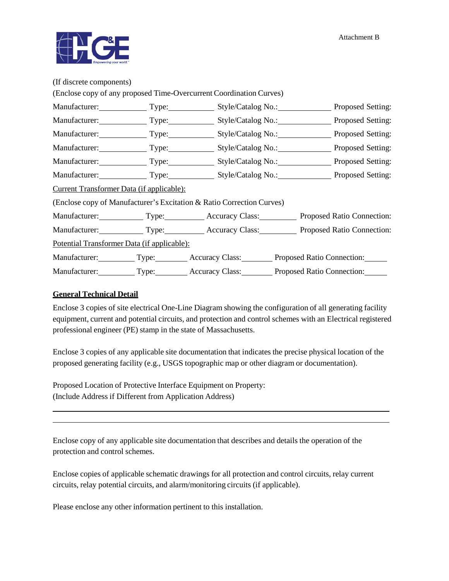

| (If discrete components)                         |                                                                       |                                                                      |  |
|--------------------------------------------------|-----------------------------------------------------------------------|----------------------------------------------------------------------|--|
|                                                  | (Enclose copy of any proposed Time-Overcurrent Coordination Curves)   |                                                                      |  |
|                                                  |                                                                       |                                                                      |  |
|                                                  |                                                                       | Manufacturer: Type: Type: Style/Catalog No.: Proposed Setting:       |  |
|                                                  |                                                                       |                                                                      |  |
|                                                  |                                                                       | Manufacturer: Type: Style/Catalog No.: Proposed Setting:             |  |
|                                                  |                                                                       | Manufacturer: Type: Style/Catalog No.: Proposed Setting:             |  |
|                                                  |                                                                       | Manufacturer: Type: Style/Catalog No.: Proposed Setting:             |  |
| <u>Current Transformer Data (if applicable):</u> |                                                                       |                                                                      |  |
|                                                  | (Enclose copy of Manufacturer's Excitation & Ratio Correction Curves) |                                                                      |  |
|                                                  |                                                                       | Manufacturer: Type: Type: Accuracy Class: Proposed Ratio Connection: |  |
|                                                  |                                                                       | Manufacturer: Type: Type: Accuracy Class: Proposed Ratio Connection: |  |
| Potential Transformer Data (if applicable):      |                                                                       |                                                                      |  |
|                                                  |                                                                       | Manufacturer: Type: Accuracy Class: Proposed Ratio Connection:       |  |
|                                                  |                                                                       | Manufacturer: Type: Type: Accuracy Class: Proposed Ratio Connection: |  |

#### **General Technical Detail**

Enclose 3 copies of site electrical One-Line Diagram showing the configuration of all generating facility equipment, current and potential circuits, and protection and control schemes with an Electrical registered professional engineer (PE) stamp in the state of Massachusetts.

Enclose 3 copies of any applicable site documentation that indicates the precise physical location of the proposed generating facility (e.g., USGS topographic map or other diagram or documentation).

Proposed Location of Protective Interface Equipment on Property: (Include Address if Different from Application Address)

Enclose copy of any applicable site documentation that describes and details the operation of the protection and control schemes.

Enclose copies of applicable schematic drawings for all protection and control circuits, relay current circuits, relay potential circuits, and alarm/monitoring circuits (if applicable).

Please enclose any other information pertinent to this installation.